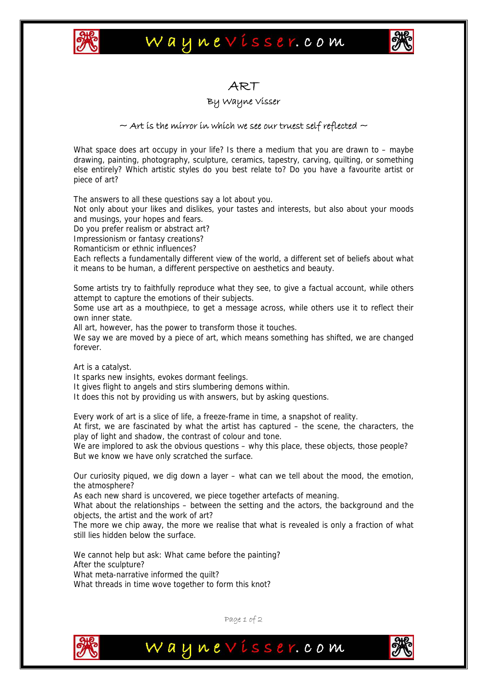

# Waynevisser.com



### ART

#### By Wayne Visser

#### $\sim$  Art is the mirror in which we see our truest self reflected  $\sim$

What space does art occupy in your life? Is there a medium that you are drawn to – maybe drawing, painting, photography, sculpture, ceramics, tapestry, carving, quilting, or something else entirely? Which artistic styles do you best relate to? Do you have a favourite artist or piece of art?

The answers to all these questions say a lot about you.

Not only about your likes and dislikes, your tastes and interests, but also about your moods and musings, your hopes and fears.

Do you prefer realism or abstract art?

Impressionism or fantasy creations?

Romanticism or ethnic influences?

Each reflects a fundamentally different view of the world, a different set of beliefs about what it means to be human, a different perspective on aesthetics and beauty.

Some artists try to faithfully reproduce what they see, to give a factual account, while others attempt to capture the emotions of their subjects.

Some use art as a mouthpiece, to get a message across, while others use it to reflect their own inner state.

All art, however, has the power to transform those it touches.

We say we are moved by a piece of art, which means something has shifted, we are changed forever.

Art is a catalyst.

It sparks new insights, evokes dormant feelings.

It gives flight to angels and stirs slumbering demons within.

It does this not by providing us with answers, but by asking questions.

Every work of art is a slice of life, a freeze-frame in time, a snapshot of reality.

At first, we are fascinated by what the artist has captured – the scene, the characters, the play of light and shadow, the contrast of colour and tone.

We are implored to ask the obvious questions – why this place, these objects, those people? But we know we have only scratched the surface.

Our curiosity piqued, we dig down a layer – what can we tell about the mood, the emotion, the atmosphere?

As each new shard is uncovered, we piece together artefacts of meaning.

What about the relationships – between the setting and the actors, the background and the objects, the artist and the work of art?

The more we chip away, the more we realise that what is revealed is only a fraction of what still lies hidden below the surface.

We cannot help but ask: What came before the painting? After the sculpture? What meta-narrative informed the quilt? What threads in time wove together to form this knot?



Page 1 of 2